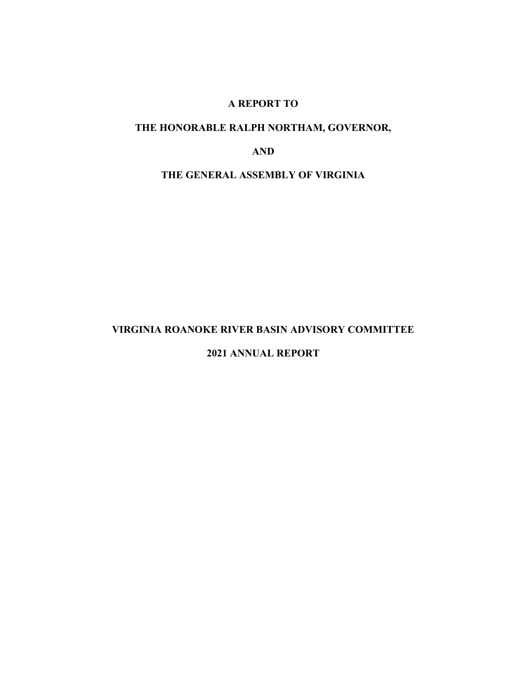# A REPORT TO

# THE HONORABLE RALPH NORTHAM, GOVERNOR,

AND

# THE GENERAL ASSEMBLY OF VIRGINIA

# VIRGINIA ROANOKE RIVER BASIN ADVISORY COMMITTEE

## 2021 ANNUAL REPORT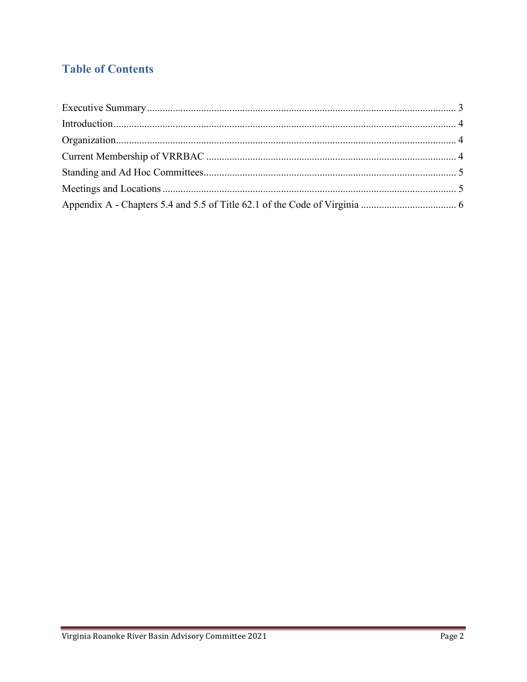# **Table of Contents**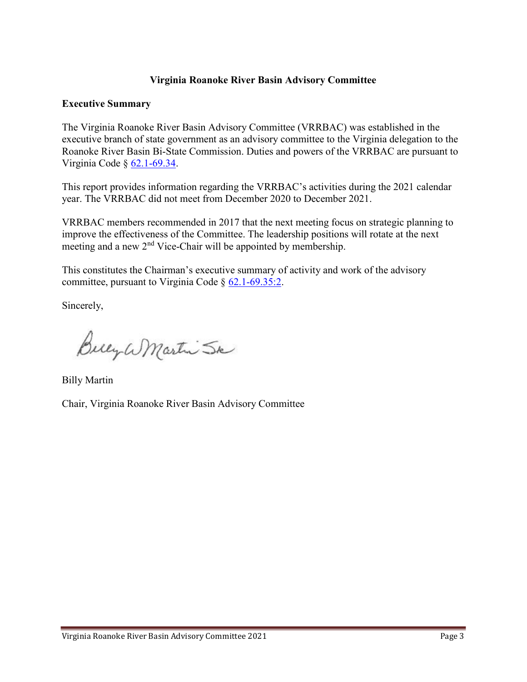# Virginia Roanoke River Basin Advisory Committee

# Executive Summary

The Virginia Roanoke River Basin Advisory Committee (VRRBAC) was established in the executive branch of state government as an advisory committee to the Virginia delegation to the Roanoke River Basin Bi-State Commission. Duties and powers of the VRRBAC are pursuant to Virginia Code § 62.1-69.34.

This report provides information regarding the VRRBAC's activities during the 2021 calendar year. The VRRBAC did not meet from December 2020 to December 2021.

VRRBAC members recommended in 2017 that the next meeting focus on strategic planning to improve the effectiveness of the Committee. The leadership positions will rotate at the next meeting and a new 2<sup>nd</sup> Vice-Chair will be appointed by membership.

This constitutes the Chairman's executive summary of activity and work of the advisory committee, pursuant to Virginia Code § 62.1-69.35:2.

Sincerely,

Bucy W Martin Sk

Billy Martin

Chair, Virginia Roanoke River Basin Advisory Committee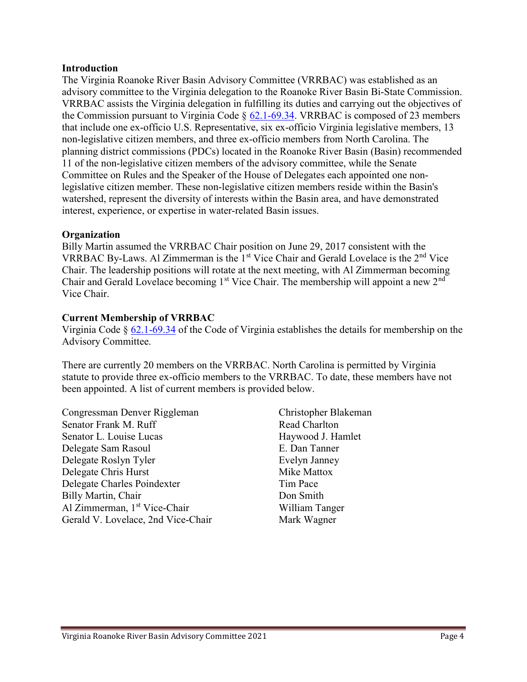## Introduction

The Virginia Roanoke River Basin Advisory Committee (VRRBAC) was established as an advisory committee to the Virginia delegation to the Roanoke River Basin Bi-State Commission. VRRBAC assists the Virginia delegation in fulfilling its duties and carrying out the objectives of the Commission pursuant to Virginia Code  $\S$  62.1-69.34. VRRBAC is composed of 23 members that include one ex-officio U.S. Representative, six ex-officio Virginia legislative members, 13 non-legislative citizen members, and three ex-officio members from North Carolina. The planning district commissions (PDCs) located in the Roanoke River Basin (Basin) recommended 11 of the non-legislative citizen members of the advisory committee, while the Senate Committee on Rules and the Speaker of the House of Delegates each appointed one nonlegislative citizen member. These non-legislative citizen members reside within the Basin's watershed, represent the diversity of interests within the Basin area, and have demonstrated interest, experience, or expertise in water-related Basin issues.

# **Organization**

Billy Martin assumed the VRRBAC Chair position on June 29, 2017 consistent with the VRRBAC By-Laws. Al Zimmerman is the  $1<sup>st</sup>$  Vice Chair and Gerald Lovelace is the  $2<sup>nd</sup>$  Vice Chair. The leadership positions will rotate at the next meeting, with Al Zimmerman becoming Chair and Gerald Lovelace becoming  $1<sup>st</sup>$  Vice Chair. The membership will appoint a new  $2<sup>nd</sup>$ Vice Chair.

# Current Membership of VRRBAC

Virginia Code § 62.1-69.34 of the Code of Virginia establishes the details for membership on the Advisory Committee.

There are currently 20 members on the VRRBAC. North Carolina is permitted by Virginia statute to provide three ex-officio members to the VRRBAC. To date, these members have not been appointed. A list of current members is provided below.

Congressman Denver Riggleman Senator Frank M. Ruff Senator L. Louise Lucas Delegate Sam Rasoul Delegate Roslyn Tyler Delegate Chris Hurst Delegate Charles Poindexter Billy Martin, Chair Al Zimmerman, 1<sup>st</sup> Vice-Chair Gerald V. Lovelace, 2nd Vice-Chair

Christopher Blakeman Read Charlton Haywood J. Hamlet E. Dan Tanner Evelyn Janney Mike Mattox Tim Pace Don Smith William Tanger Mark Wagner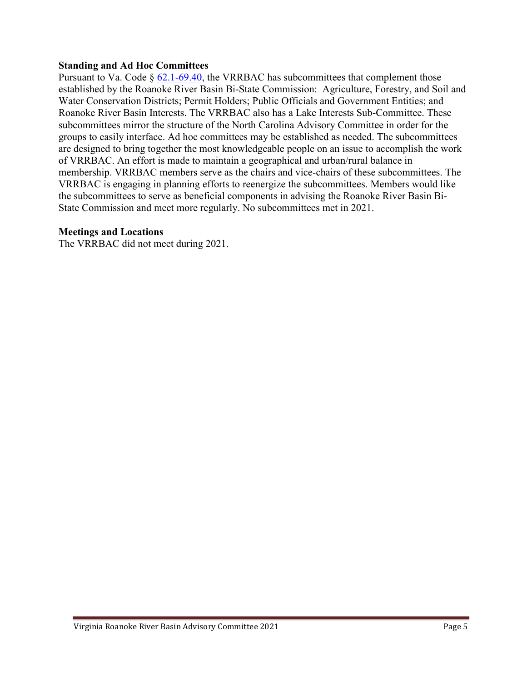### Standing and Ad Hoc Committees

Pursuant to Va. Code  $\S$  62.1-69.40, the VRRBAC has subcommittees that complement those established by the Roanoke River Basin Bi-State Commission: Agriculture, Forestry, and Soil and Water Conservation Districts; Permit Holders; Public Officials and Government Entities; and Roanoke River Basin Interests. The VRRBAC also has a Lake Interests Sub-Committee. These subcommittees mirror the structure of the North Carolina Advisory Committee in order for the groups to easily interface. Ad hoc committees may be established as needed. The subcommittees are designed to bring together the most knowledgeable people on an issue to accomplish the work of VRRBAC. An effort is made to maintain a geographical and urban/rural balance in membership. VRRBAC members serve as the chairs and vice-chairs of these subcommittees. The VRRBAC is engaging in planning efforts to reenergize the subcommittees. Members would like the subcommittees to serve as beneficial components in advising the Roanoke River Basin Bi-State Commission and meet more regularly. No subcommittees met in 2021.

#### Meetings and Locations

The VRRBAC did not meet during 2021.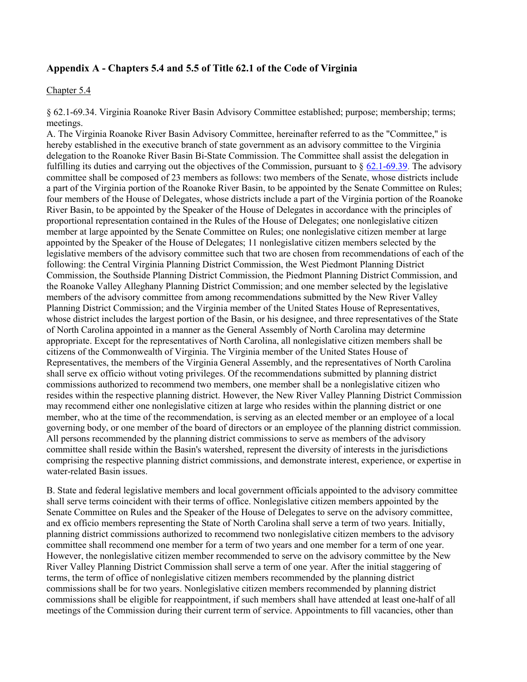### Appendix A - Chapters 5.4 and 5.5 of Title 62.1 of the Code of Virginia

#### Chapter 5.4

§ 62.1-69.34. Virginia Roanoke River Basin Advisory Committee established; purpose; membership; terms; meetings.

A. The Virginia Roanoke River Basin Advisory Committee, hereinafter referred to as the "Committee," is hereby established in the executive branch of state government as an advisory committee to the Virginia delegation to the Roanoke River Basin Bi-State Commission. The Committee shall assist the delegation in fulfilling its duties and carrying out the objectives of the Commission, pursuant to  $\S$  62.1-69.39. The advisory committee shall be composed of 23 members as follows: two members of the Senate, whose districts include a part of the Virginia portion of the Roanoke River Basin, to be appointed by the Senate Committee on Rules; four members of the House of Delegates, whose districts include a part of the Virginia portion of the Roanoke River Basin, to be appointed by the Speaker of the House of Delegates in accordance with the principles of proportional representation contained in the Rules of the House of Delegates; one nonlegislative citizen member at large appointed by the Senate Committee on Rules; one nonlegislative citizen member at large appointed by the Speaker of the House of Delegates; 11 nonlegislative citizen members selected by the legislative members of the advisory committee such that two are chosen from recommendations of each of the following: the Central Virginia Planning District Commission, the West Piedmont Planning District Commission, the Southside Planning District Commission, the Piedmont Planning District Commission, and the Roanoke Valley Alleghany Planning District Commission; and one member selected by the legislative members of the advisory committee from among recommendations submitted by the New River Valley Planning District Commission; and the Virginia member of the United States House of Representatives, whose district includes the largest portion of the Basin, or his designee, and three representatives of the State of North Carolina appointed in a manner as the General Assembly of North Carolina may determine appropriate. Except for the representatives of North Carolina, all nonlegislative citizen members shall be citizens of the Commonwealth of Virginia. The Virginia member of the United States House of Representatives, the members of the Virginia General Assembly, and the representatives of North Carolina shall serve ex officio without voting privileges. Of the recommendations submitted by planning district commissions authorized to recommend two members, one member shall be a nonlegislative citizen who resides within the respective planning district. However, the New River Valley Planning District Commission may recommend either one nonlegislative citizen at large who resides within the planning district or one member, who at the time of the recommendation, is serving as an elected member or an employee of a local governing body, or one member of the board of directors or an employee of the planning district commission. All persons recommended by the planning district commissions to serve as members of the advisory committee shall reside within the Basin's watershed, represent the diversity of interests in the jurisdictions comprising the respective planning district commissions, and demonstrate interest, experience, or expertise in water-related Basin issues.

B. State and federal legislative members and local government officials appointed to the advisory committee shall serve terms coincident with their terms of office. Nonlegislative citizen members appointed by the Senate Committee on Rules and the Speaker of the House of Delegates to serve on the advisory committee, and ex officio members representing the State of North Carolina shall serve a term of two years. Initially, planning district commissions authorized to recommend two nonlegislative citizen members to the advisory committee shall recommend one member for a term of two years and one member for a term of one year. However, the nonlegislative citizen member recommended to serve on the advisory committee by the New River Valley Planning District Commission shall serve a term of one year. After the initial staggering of terms, the term of office of nonlegislative citizen members recommended by the planning district commissions shall be for two years. Nonlegislative citizen members recommended by planning district commissions shall be eligible for reappointment, if such members shall have attended at least one-half of all meetings of the Commission during their current term of service. Appointments to fill vacancies, other than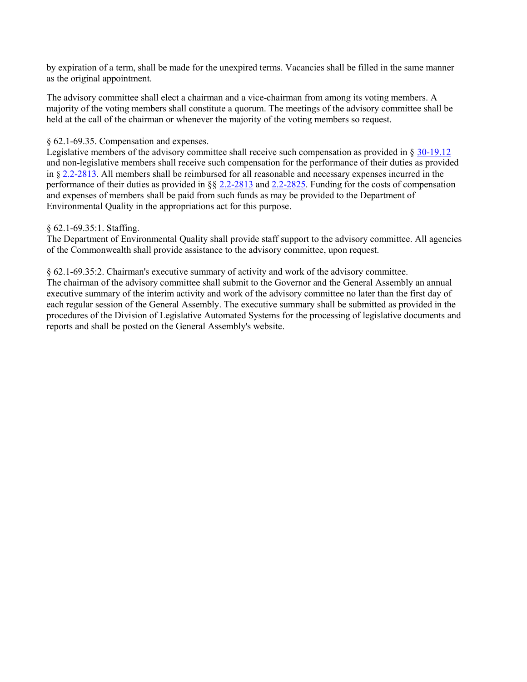by expiration of a term, shall be made for the unexpired terms. Vacancies shall be filled in the same manner as the original appointment.

The advisory committee shall elect a chairman and a vice-chairman from among its voting members. A majority of the voting members shall constitute a quorum. The meetings of the advisory committee shall be held at the call of the chairman or whenever the majority of the voting members so request.

#### § 62.1-69.35. Compensation and expenses.

Legislative members of the advisory committee shall receive such compensation as provided in § 30-19.12 and non-legislative members shall receive such compensation for the performance of their duties as provided in § 2.2-2813. All members shall be reimbursed for all reasonable and necessary expenses incurred in the performance of their duties as provided in §§ 2.2-2813 and 2.2-2825. Funding for the costs of compensation and expenses of members shall be paid from such funds as may be provided to the Department of Environmental Quality in the appropriations act for this purpose.

#### § 62.1-69.35:1. Staffing.

The Department of Environmental Quality shall provide staff support to the advisory committee. All agencies of the Commonwealth shall provide assistance to the advisory committee, upon request.

§ 62.1-69.35:2. Chairman's executive summary of activity and work of the advisory committee. The chairman of the advisory committee shall submit to the Governor and the General Assembly an annual executive summary of the interim activity and work of the advisory committee no later than the first day of each regular session of the General Assembly. The executive summary shall be submitted as provided in the procedures of the Division of Legislative Automated Systems for the processing of legislative documents and reports and shall be posted on the General Assembly's website.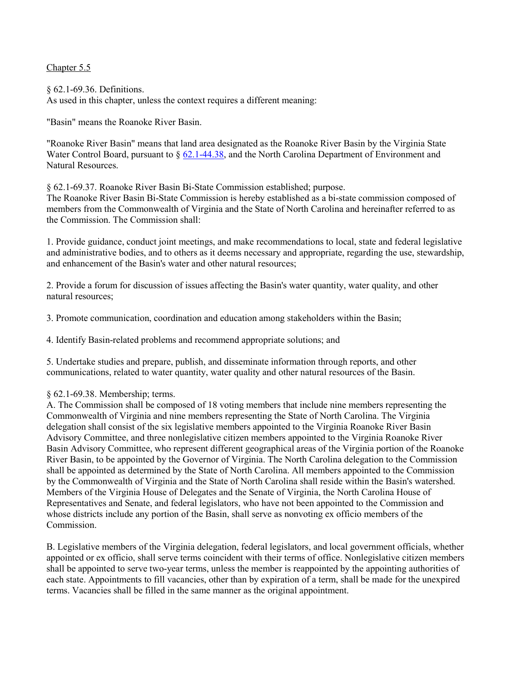Chapter 5.5

§ 62.1-69.36. Definitions. As used in this chapter, unless the context requires a different meaning:

"Basin" means the Roanoke River Basin.

"Roanoke River Basin" means that land area designated as the Roanoke River Basin by the Virginia State Water Control Board, pursuant to § 62.1-44.38, and the North Carolina Department of Environment and Natural Resources.

§ 62.1-69.37. Roanoke River Basin Bi-State Commission established; purpose.

The Roanoke River Basin Bi-State Commission is hereby established as a bi-state commission composed of members from the Commonwealth of Virginia and the State of North Carolina and hereinafter referred to as the Commission. The Commission shall:

1. Provide guidance, conduct joint meetings, and make recommendations to local, state and federal legislative and administrative bodies, and to others as it deems necessary and appropriate, regarding the use, stewardship, and enhancement of the Basin's water and other natural resources;

2. Provide a forum for discussion of issues affecting the Basin's water quantity, water quality, and other natural resources;

3. Promote communication, coordination and education among stakeholders within the Basin;

4. Identify Basin-related problems and recommend appropriate solutions; and

5. Undertake studies and prepare, publish, and disseminate information through reports, and other communications, related to water quantity, water quality and other natural resources of the Basin.

#### § 62.1-69.38. Membership; terms.

A. The Commission shall be composed of 18 voting members that include nine members representing the Commonwealth of Virginia and nine members representing the State of North Carolina. The Virginia delegation shall consist of the six legislative members appointed to the Virginia Roanoke River Basin Advisory Committee, and three nonlegislative citizen members appointed to the Virginia Roanoke River Basin Advisory Committee, who represent different geographical areas of the Virginia portion of the Roanoke River Basin, to be appointed by the Governor of Virginia. The North Carolina delegation to the Commission shall be appointed as determined by the State of North Carolina. All members appointed to the Commission by the Commonwealth of Virginia and the State of North Carolina shall reside within the Basin's watershed. Members of the Virginia House of Delegates and the Senate of Virginia, the North Carolina House of Representatives and Senate, and federal legislators, who have not been appointed to the Commission and whose districts include any portion of the Basin, shall serve as nonvoting ex officio members of the Commission.

B. Legislative members of the Virginia delegation, federal legislators, and local government officials, whether appointed or ex officio, shall serve terms coincident with their terms of office. Nonlegislative citizen members shall be appointed to serve two-year terms, unless the member is reappointed by the appointing authorities of each state. Appointments to fill vacancies, other than by expiration of a term, shall be made for the unexpired terms. Vacancies shall be filled in the same manner as the original appointment.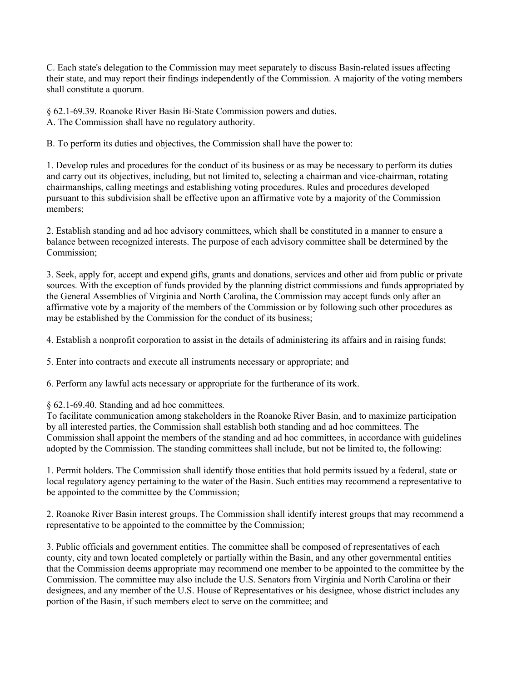C. Each state's delegation to the Commission may meet separately to discuss Basin-related issues affecting their state, and may report their findings independently of the Commission. A majority of the voting members shall constitute a quorum.

§ 62.1-69.39. Roanoke River Basin Bi-State Commission powers and duties. A. The Commission shall have no regulatory authority.

B. To perform its duties and objectives, the Commission shall have the power to:

1. Develop rules and procedures for the conduct of its business or as may be necessary to perform its duties and carry out its objectives, including, but not limited to, selecting a chairman and vice-chairman, rotating chairmanships, calling meetings and establishing voting procedures. Rules and procedures developed pursuant to this subdivision shall be effective upon an affirmative vote by a majority of the Commission members;

2. Establish standing and ad hoc advisory committees, which shall be constituted in a manner to ensure a balance between recognized interests. The purpose of each advisory committee shall be determined by the Commission;

3. Seek, apply for, accept and expend gifts, grants and donations, services and other aid from public or private sources. With the exception of funds provided by the planning district commissions and funds appropriated by the General Assemblies of Virginia and North Carolina, the Commission may accept funds only after an affirmative vote by a majority of the members of the Commission or by following such other procedures as may be established by the Commission for the conduct of its business;

4. Establish a nonprofit corporation to assist in the details of administering its affairs and in raising funds;

5. Enter into contracts and execute all instruments necessary or appropriate; and

6. Perform any lawful acts necessary or appropriate for the furtherance of its work.

§ 62.1-69.40. Standing and ad hoc committees.

To facilitate communication among stakeholders in the Roanoke River Basin, and to maximize participation by all interested parties, the Commission shall establish both standing and ad hoc committees. The Commission shall appoint the members of the standing and ad hoc committees, in accordance with guidelines adopted by the Commission. The standing committees shall include, but not be limited to, the following:

1. Permit holders. The Commission shall identify those entities that hold permits issued by a federal, state or local regulatory agency pertaining to the water of the Basin. Such entities may recommend a representative to be appointed to the committee by the Commission;

2. Roanoke River Basin interest groups. The Commission shall identify interest groups that may recommend a representative to be appointed to the committee by the Commission;

3. Public officials and government entities. The committee shall be composed of representatives of each county, city and town located completely or partially within the Basin, and any other governmental entities that the Commission deems appropriate may recommend one member to be appointed to the committee by the Commission. The committee may also include the U.S. Senators from Virginia and North Carolina or their designees, and any member of the U.S. House of Representatives or his designee, whose district includes any portion of the Basin, if such members elect to serve on the committee; and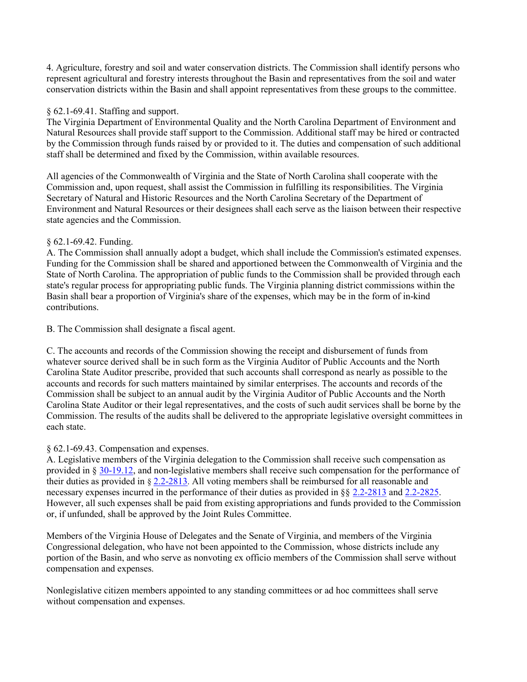4. Agriculture, forestry and soil and water conservation districts. The Commission shall identify persons who represent agricultural and forestry interests throughout the Basin and representatives from the soil and water conservation districts within the Basin and shall appoint representatives from these groups to the committee.

#### § 62.1-69.41. Staffing and support.

The Virginia Department of Environmental Quality and the North Carolina Department of Environment and Natural Resources shall provide staff support to the Commission. Additional staff may be hired or contracted by the Commission through funds raised by or provided to it. The duties and compensation of such additional staff shall be determined and fixed by the Commission, within available resources.

All agencies of the Commonwealth of Virginia and the State of North Carolina shall cooperate with the Commission and, upon request, shall assist the Commission in fulfilling its responsibilities. The Virginia Secretary of Natural and Historic Resources and the North Carolina Secretary of the Department of Environment and Natural Resources or their designees shall each serve as the liaison between their respective state agencies and the Commission.

## § 62.1-69.42. Funding.

A. The Commission shall annually adopt a budget, which shall include the Commission's estimated expenses. Funding for the Commission shall be shared and apportioned between the Commonwealth of Virginia and the State of North Carolina. The appropriation of public funds to the Commission shall be provided through each state's regular process for appropriating public funds. The Virginia planning district commissions within the Basin shall bear a proportion of Virginia's share of the expenses, which may be in the form of in-kind contributions.

B. The Commission shall designate a fiscal agent.

C. The accounts and records of the Commission showing the receipt and disbursement of funds from whatever source derived shall be in such form as the Virginia Auditor of Public Accounts and the North Carolina State Auditor prescribe, provided that such accounts shall correspond as nearly as possible to the accounts and records for such matters maintained by similar enterprises. The accounts and records of the Commission shall be subject to an annual audit by the Virginia Auditor of Public Accounts and the North Carolina State Auditor or their legal representatives, and the costs of such audit services shall be borne by the Commission. The results of the audits shall be delivered to the appropriate legislative oversight committees in each state.

## § 62.1-69.43. Compensation and expenses.

A. Legislative members of the Virginia delegation to the Commission shall receive such compensation as provided in § 30-19.12, and non-legislative members shall receive such compensation for the performance of their duties as provided in § 2.2-2813. All voting members shall be reimbursed for all reasonable and necessary expenses incurred in the performance of their duties as provided in §§ 2.2-2813 and 2.2-2825. However, all such expenses shall be paid from existing appropriations and funds provided to the Commission or, if unfunded, shall be approved by the Joint Rules Committee.

Members of the Virginia House of Delegates and the Senate of Virginia, and members of the Virginia Congressional delegation, who have not been appointed to the Commission, whose districts include any portion of the Basin, and who serve as nonvoting ex officio members of the Commission shall serve without compensation and expenses.

Nonlegislative citizen members appointed to any standing committees or ad hoc committees shall serve without compensation and expenses.